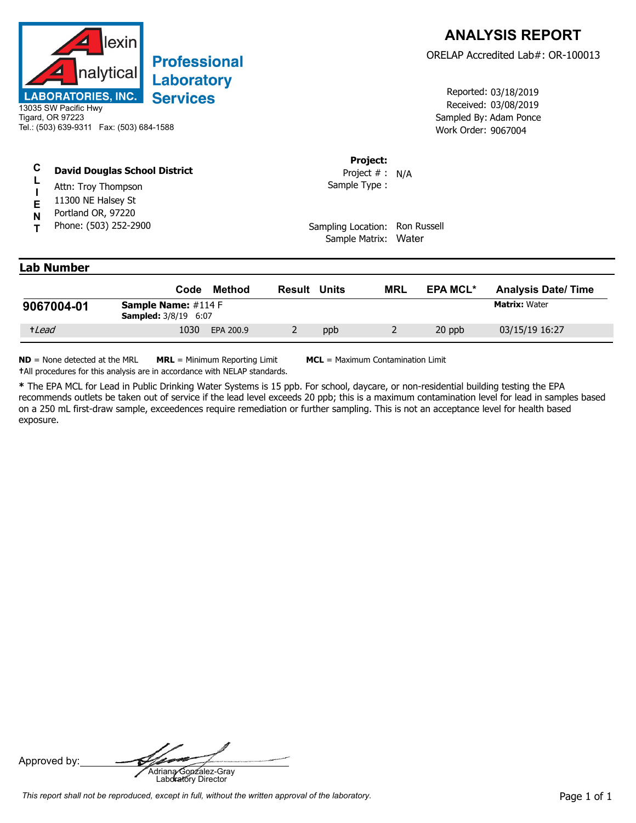

## **Professional** Laboratory **Services**

## **C David Douglas School District**

- **L** Attn: Troy Thompson
- **I E** 11300 NE Halsey St
- **N** Portland OR, 97220
- **T** Phone: (503) 252-2900

Received: 03/08/2019 Work Order: 9067004 Reported: 03/18/2019 Sampled By: Adam Ponce

## **Project:**

Sample Type : Project # : N/A

Sampling Location: Ron Russell Sample Matrix: Water

## **Lab Number**

|            | Code                                                         | Method    | Result | Units | MRL | <b>EPA MCL*</b> | <b>Analysis Date/ Time</b> |
|------------|--------------------------------------------------------------|-----------|--------|-------|-----|-----------------|----------------------------|
| 9067004-01 | <b>Sample Name:</b> $\#114 F$<br><b>Sampled:</b> 3/8/19 6:07 |           |        |       |     |                 | <b>Matrix: Water</b>       |
| +Lead      | 1030                                                         | EPA 200.9 |        | ppb   |     | 20 ppb          | 03/15/19 16:27             |

**ND** = None detected at the MRL **MRL** = Minimum Reporting Limit **MCL** = Maximum Contamination Limit **†**All procedures for this analysis are in accordance with NELAP standards.

**\*** The EPA MCL for Lead in Public Drinking Water Systems is 15 ppb. For school, daycare, or non-residential building testing the EPA recommends outlets be taken out of service if the lead level exceeds 20 ppb; this is a maximum contamination level for lead in samples based on a 250 mL first-draw sample, exceedences require remediation or further sampling. This is not an acceptance level for health based exposure.

Approved by: **Adriana Gonzalez-Gray**<br>Adriana Gonzalez-Gray<br>Laboratory Director